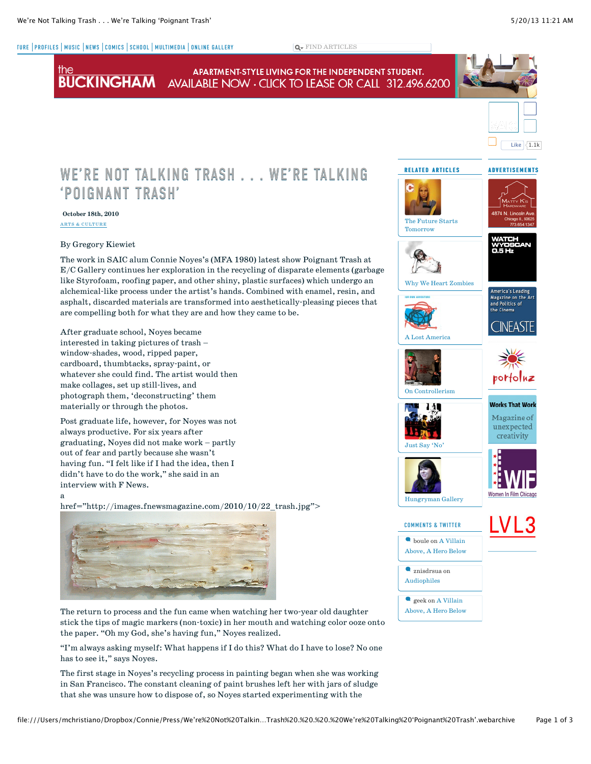the

a

[TURE](http://fnewsmagazine.com/tag/arts-culture/) [PROFILES](http://fnewsmagazine.com/category/profiles/) | [MUSIC](http://fnewsmagazine.com/category/music/) | [NEWS](http://fnewsmagazine.com/category/news/) | [COMICS](http://fnewsmagazine.com/category/comics/) | [SCHOOL](http://fnewsmagazine.com/tag/school/) | [MULTIMEDIA](http://fnewsmagazine.com/tag/multimedia/) | [ONLINE GALLERY](http://gallery.fnewsmagazine.com/) FIND ARTICLES



that she was unsure how to dispose of, so Noyes started experimenting with the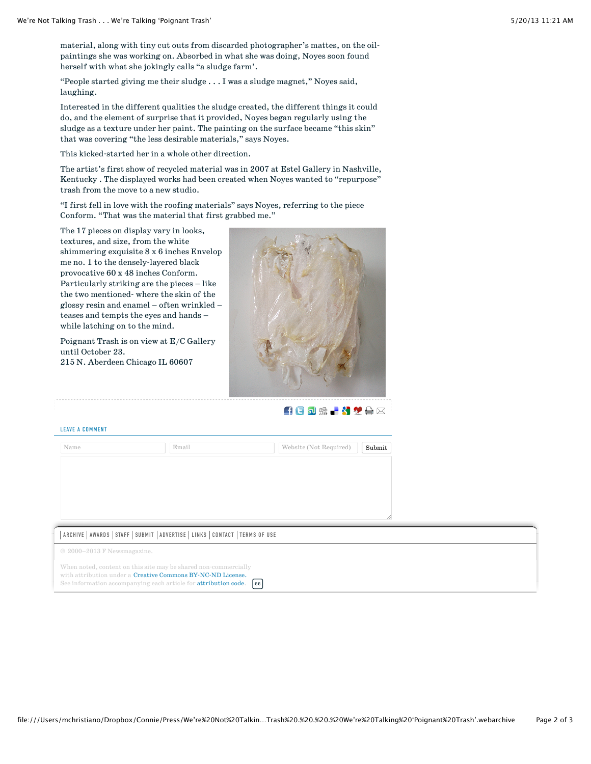material, along with tiny cut outs from discarded photographer's mattes, on the oilpaintings she was working on. Absorbed in what she was doing, Noyes soon found herself with what she jokingly calls "a sludge farm'.

"People started giving me their sludge . . . I was a sludge magnet," Noyes said, laughing.

Interested in the different qualities the sludge created, the different things it could do, and the element of surprise that it provided, Noyes began regularly using the sludge as a texture under her paint. The painting on the surface became "this skin" that was covering "the less desirable materials," says Noyes.

This kicked-started her in a whole other direction.

The artist's first show of recycled material was in 2007 at Estel Gallery in Nashville, Kentucky . The displayed works had been created when Noyes wanted to "repurpose" trash from the move to a new studio.

"I first fell in love with the roofing materials" says Noyes, referring to the piece Conform. "That was the material that first grabbed me."

The 17 pieces on display vary in looks, textures, and size, from the white shimmering exquisite 8 x 6 inches Envelop me no. 1 to the densely-layered black provocative 60 x 48 inches Conform. Particularly striking are the pieces – like the two mentioned- where the skin of the glossy resin and enamel – often wrinkled – teases and tempts the eyes and hands – while latching on to the mind.

Poignant Trash is on view at E/C Gallery until October 23. 215 N. Aberdeen Chicago IL 60607



**自日可需→312**片区

## LEAVE A COMMENT

| Name                                                             | Email | Website (Not Required)<br>Submit |
|------------------------------------------------------------------|-------|----------------------------------|
|                                                                  |       |                                  |
|                                                                  |       |                                  |
|                                                                  |       |                                  |
|                                                                  |       |                                  |
|                                                                  |       | í.                               |
| ARCHIVE AWARDS STAFF SUBMIT ADVERTISE LINKS CONTACT TERMS OF USE |       |                                  |

© 2000–2013 F Newsmagazine.

When noted, content on this site may be shared non-commercially with attribution under a [Creative Commons BY-NC-ND License.](http://creativecommons.org/licenses/by-nc-nd/3.0/) See information accompanying each article for [attribution code.](http://fnewsmagazine.com/termsofuse#attribution) **[cc](http://creativecommons.org/licenses/by-nc-nd/3.0/)**